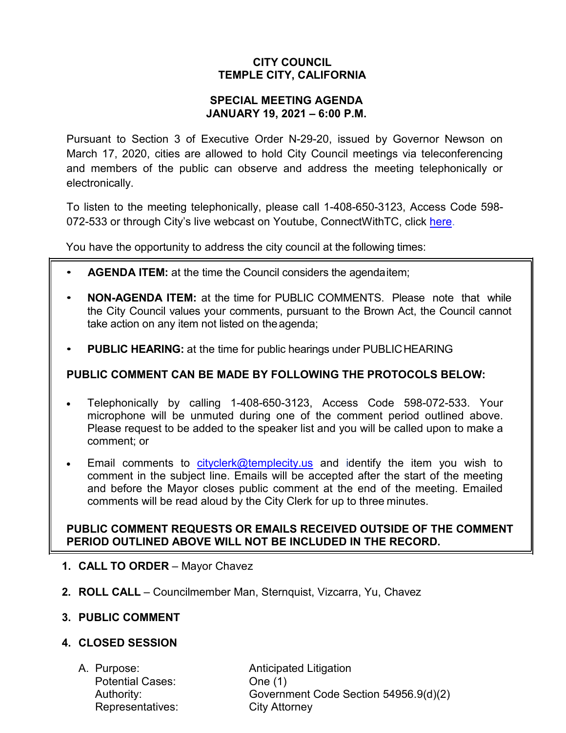# **CITY COUNCIL TEMPLE CITY, CALIFORNIA**

#### **SPECIAL MEETING AGENDA JANUARY 19, 2021 – 6:00 P.M.**

Pursuant to Section 3 of Executive Order N-29-20, issued by Governor Newson on March 17, 2020, cities are allowed to hold City Council meetings via teleconferencing and members of the public can observe and address the meeting telephonically or electronically.

To listen to the meeting telephonically, please call 1-408-650-3123, Access Code 598 072-533 or through City's live webcast on Youtube, ConnectWithTC, click [here.](https://www.ci.temple-city.ca.us/516/Meeting-Webcast)

You have the opportunity to address the city council at the following times:

- **AGENDA ITEM:** at the time the Council considers the agendaitem;
- **NON-AGENDA ITEM:** at the time for PUBLIC COMMENTS. Please note that while the City Council values your comments, pursuant to the Brown Act, the Council cannot take action on any item not listed on the agenda;
- **PUBLIC HEARING:** at the time for public hearings under PUBLICHEARING

## **PUBLIC COMMENT CAN BE MADE BY FOLLOWING THE PROTOCOLS BELOW:**

- Telephonically by calling 1-408-650-3123, Access Code 598-072-533. Your microphone will be unmuted during one of the comment period outlined above. Please request to be added to the speaker list and you will be called upon to make a comment; or
- Email comments to [cityclerk@templecity.us](mailto:cityclerk@templecity.us) and identify the item you wish to comment in the subject line. Emails will be accepted after the start of the meeting and before the Mayor closes public comment at the end of the meeting. Emailed comments will be read aloud by the City Clerk for up to three minutes.

### **PUBLIC COMMENT REQUESTS OR EMAILS RECEIVED OUTSIDE OF THE COMMENT PERIOD OUTLINED ABOVE WILL NOT BE INCLUDED IN THE RECORD.**

- **1. CALL TO ORDER**  Mayor Chavez
- **2. ROLL CALL**  Councilmember Man, Sternquist, Vizcarra, Yu, Chavez

### **3. PUBLIC COMMENT**

### **4. CLOSED SESSION**

Potential Cases: One (1) Representatives: City Attorney

A. Purpose: **Anticipated Litigation** Authority: Government Code Section 54956.9(d)(2)